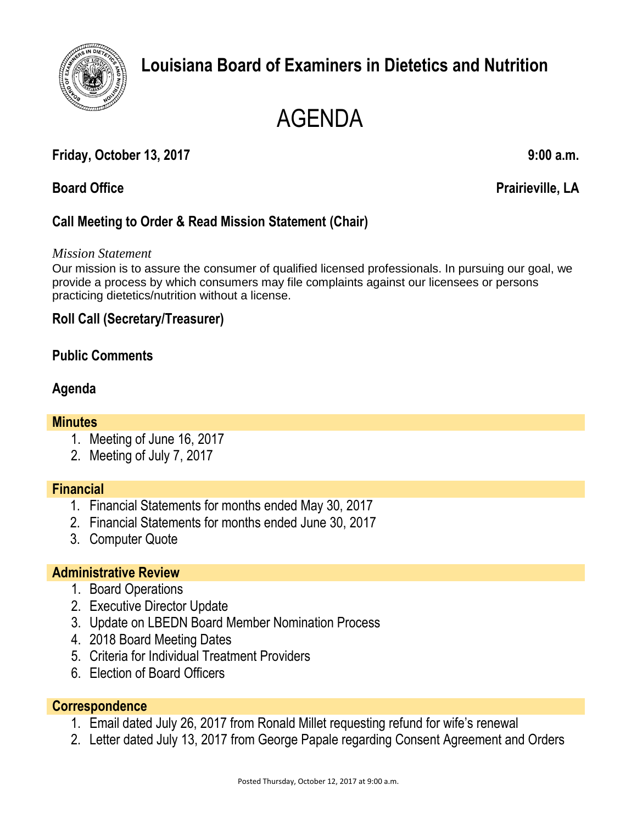

## **Louisiana Board of Examiners in Dietetics and Nutrition**

# AGENDA

### **Friday, October 13, 2017 9:00 a.m.**

**Board Office Prairieville, LA**

### **Call Meeting to Order & Read Mission Statement (Chair)**

*Mission Statement*

Our mission is to assure the consumer of qualified licensed professionals. In pursuing our goal, we provide a process by which consumers may file complaints against our licensees or persons practicing dietetics/nutrition without a license.

#### **Roll Call (Secretary/Treasurer)**

#### **Public Comments**

#### **Agenda**

#### **Minutes**

- 1. Meeting of June 16, 2017
- 2. Meeting of July 7, 2017

#### **Financial**

- 1. Financial Statements for months ended May 30, 2017
- 2. Financial Statements for months ended June 30, 2017
- 3. Computer Quote

#### **Administrative Review**

- 1. Board Operations
- 2. Executive Director Update
- 3. Update on LBEDN Board Member Nomination Process
- 4. 2018 Board Meeting Dates
- 5. Criteria for Individual Treatment Providers
- 6. Election of Board Officers

#### **Correspondence**

- 1. Email dated July 26, 2017 from Ronald Millet requesting refund for wife's renewal
- 2. Letter dated July 13, 2017 from George Papale regarding Consent Agreement and Orders